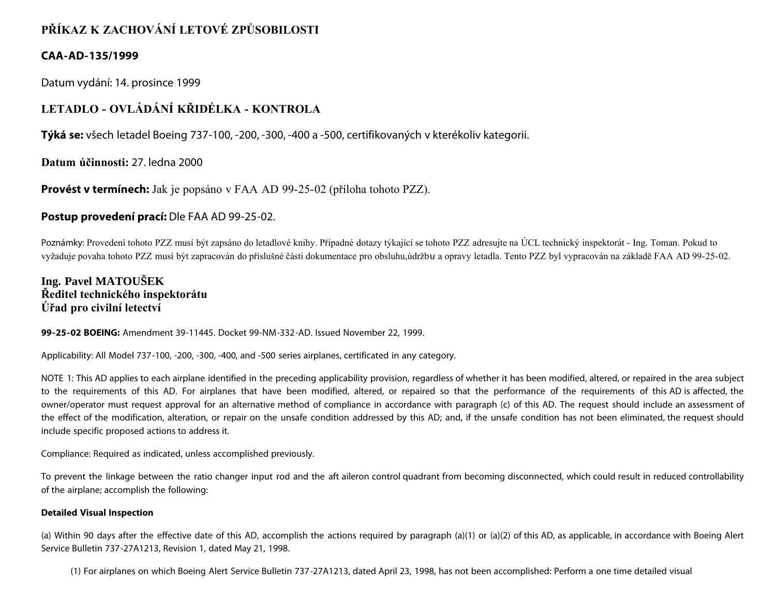# **PŘÍKAZ K ZACHOVÁNÍ LETOVÉ ZPŮSOBILOSTI**

## **CAA-AD-135/1999**

Datum vydání: 14. prosince 1999

# **LETADLO - OVLÁDÁNÍ KŘIDÉLKA - KONTROLA**

**Týká se:** všech letadel Boeing 737-100, -200, -300, -400 a -500, certifikovaných v kterékoliv kategorii.

**Datum účinnosti:** 27. ledna 2000

**Provést v termínech:** Jak je popsáno v FAA AD 99-25-02 (příloha tohoto PZZ).

# **Postup provedení prací:** Dle FAA AD 99-25-02.

Poznámky: Provedení tohoto PZZ musí být zapsáno do letadlové knihy. Případné dotazy týkající se tohoto PZZ adresujte na ÚCL technický inspektorát - Ing. Toman. Pokud to vyžaduje povaha tohoto PZZ musí být zapracován do příslušné části dokumentace pro obsluhu,údržbu a opravy letadla. Tento PZZ byl vypracován na základě FAA AD 99-25-02.

# **Ing. Pavel MATOUŠEK Ředitel technického inspektorátu Úřad pro civilní letectví**

## **99-25-02 BOEING:** Amendment 39-11445. Docket 99-NM-332-AD. Issued November 22, 1999.

Applicability: All Model 737-100, -200, -300, -400, and -500 series airplanes, certificated in any category.

NOTE 1: This AD applies to each airplane identified in the preceding applicability provision, regardless of whether it has been modified, altered, or repaired in the area subject to the requirements of this AD. For airplanes that have been modified, altered, or repaired so that the performance of the requirements of this AD is affected, the owner/operator must request approval for an alternative method of compliance in accordance with paragraph (c) of this AD. The request should include an assessment of the effect of the modification, alteration, or repair on the unsafe condition addressed by this AD; and, if the unsafe condition has not been eliminated, the request should include specific proposed actions to address it.

Compliance: Required as indicated, unless accomplished previously.

To prevent the linkage between the ratio changer input rod and the aft aileron control quadrant from becoming disconnected, which could result in reduced controllability of the airplane; accomplish the following:

## **Detailed Visual Inspection**

(a) Within 90 days after the effective date of this AD, accomplish the actions required by paragraph (a)(1) or (a)(2) of this AD, as applicable, in accordance with Boeing Alert Service Bulletin 737-27A1213, Revision 1, dated May 21, 1998.

(1) For airplanes on which Boeing Alert Service Bulletin 737-27A1213, dated April 23, 1998, has not been accomplished: Perform a one time detailed visual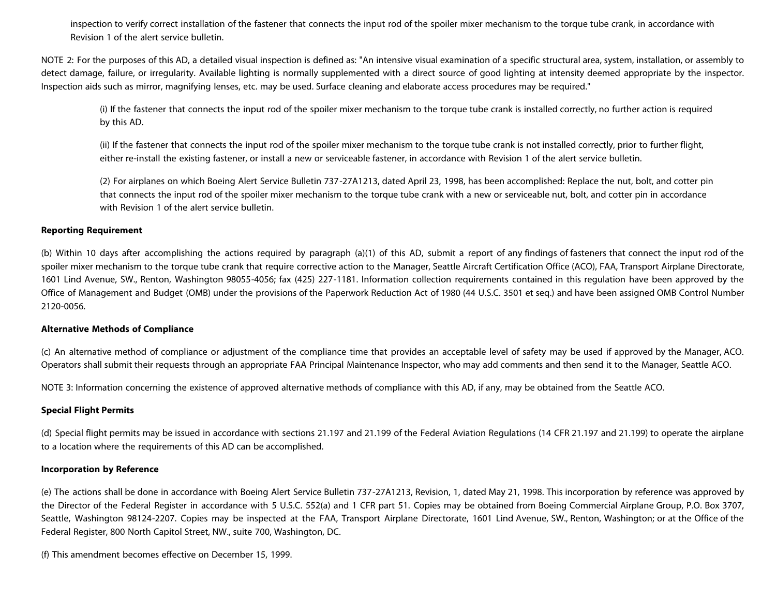inspection to verify correct installation of the fastener that connects the input rod of the spoiler mixer mechanism to the torque tube crank, in accordance with Revision 1 of the alert service bulletin.

NOTE 2: For the purposes of this AD, a detailed visual inspection is defined as: "An intensive visual examination of a specific structural area, system, installation, or assembly to detect damage, failure, or irregularity. Available lighting is normally supplemented with a direct source of good lighting at intensity deemed appropriate by the inspector. Inspection aids such as mirror, magnifying lenses, etc. may be used. Surface cleaning and elaborate access procedures may be required."

(i) If the fastener that connects the input rod of the spoiler mixer mechanism to the torque tube crank is installed correctly, no further action is required by this AD.

(ii) If the fastener that connects the input rod of the spoiler mixer mechanism to the torque tube crank is not installed correctly, prior to further flight, either re-install the existing fastener, or install a new or serviceable fastener, in accordance with Revision 1 of the alert service bulletin.

(2) For airplanes on which Boeing Alert Service Bulletin 737-27A1213, dated April 23, 1998, has been accomplished: Replace the nut, bolt, and cotter pin that connects the input rod of the spoiler mixer mechanism to the torque tube crank with a new or serviceable nut, bolt, and cotter pin in accordance with Revision 1 of the alert service bulletin.

#### **Reporting Requirement**

(b) Within 10 days after accomplishing the actions required by paragraph (a)(1) of this AD, submit a report of any findings of fasteners that connect the input rod of the spoiler mixer mechanism to the torque tube crank that require corrective action to the Manager, Seattle Aircraft Certification Office (ACO), FAA, Transport Airplane Directorate, 1601 Lind Avenue, SW., Renton, Washington 98055-4056; fax (425) 227-1181. Information collection requirements contained in this regulation have been approved by the Office of Management and Budget (OMB) under the provisions of the Paperwork Reduction Act of 1980 (44 U.S.C. 3501 et seq.) and have been assigned OMB Control Number 2120-0056.

### **Alternative Methods of Compliance**

(c) An alternative method of compliance or adjustment of the compliance time that provides an acceptable level of safety may be used if approved by the Manager, ACO. Operators shall submit their requests through an appropriate FAA Principal Maintenance Inspector, who may add comments and then send it to the Manager, Seattle ACO.

NOTE 3: Information concerning the existence of approved alternative methods of compliance with this AD, if any, may be obtained from the Seattle ACO.

### **Special Flight Permits**

(d) Special flight permits may be issued in accordance with sections 21.197 and 21.199 of the Federal Aviation Regulations (14 CFR 21.197 and 21.199) to operate the airplane to a location where the requirements of this AD can be accomplished.

#### **Incorporation by Reference**

(e) The actions shall be done in accordance with Boeing Alert Service Bulletin 737-27A1213, Revision, 1, dated May 21, 1998. This incorporation by reference was approved by the Director of the Federal Register in accordance with 5 U.S.C. 552(a) and 1 CFR part 51. Copies may be obtained from Boeing Commercial Airplane Group, P.O. Box 3707, Seattle, Washington 98124-2207. Copies may be inspected at the FAA, Transport Airplane Directorate, 1601 Lind Avenue, SW., Renton, Washington; or at the Office of the Federal Register, 800 North Capitol Street, NW., suite 700, Washington, DC.

(f) This amendment becomes effective on December 15, 1999.